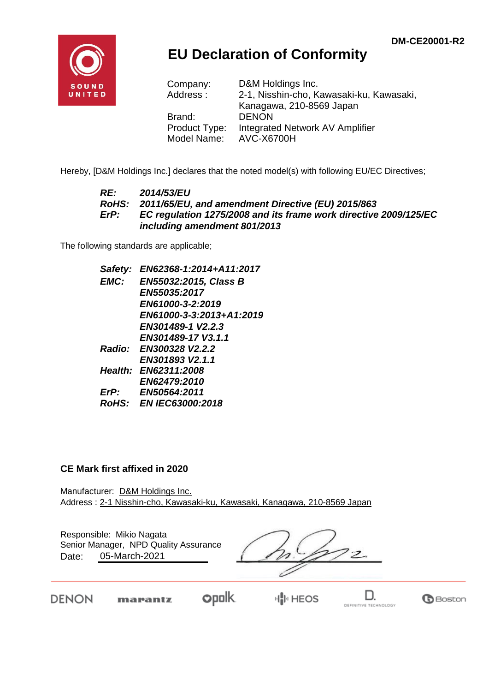

## **EU Declaration of Conformity**

| Company:      | D&M Holdings Inc.                        |
|---------------|------------------------------------------|
| Address:      | 2-1, Nisshin-cho, Kawasaki-ku, Kawasaki, |
|               | Kanagawa, 210-8569 Japan                 |
| Brand:        | <b>DENON</b>                             |
| Product Type: | Integrated Network AV Amplifier          |
| Model Name:   | <b>AVC-X6700H</b>                        |

Hereby, [D&M Holdings Inc.] declares that the noted model(s) with following EU/EC Directives;

#### *RE: 2014/53/EU RoHS: 2011/65/EU, and amendment Directive (EU) 2015/863 ErP: EC regulation 1275/2008 and its frame work directive 2009/125/EC including amendment 801/2013*

The following standards are applicable;

*Safety: EN62368-1:2014+A11:2017 EMC: EN55032:2015, Class B EN55035:2017 EN61000-3-2:2019 EN61000-3-3:2013+A1:2019 EN301489-1 V2.2.3 EN301489-17 V3.1.1 Radio: EN300328 V2.2.2 EN301893 V2.1.1 Health: EN62311:2008 EN62479:2010 ErP: EN50564:2011 RoHS: EN IEC63000:2018*

#### **CE Mark first affixed in 2020**

Manufacturer: D&M Holdings Inc. Address : 2-1 Nisshin-cho, Kawasaki-ku, Kawasaki, Kanagawa, 210-8569 Japan

| Responsible: Mikio Nagata<br>Senior Manager, NPD Quality Assurance<br>05-March-2021<br>Date: |  |
|----------------------------------------------------------------------------------------------|--|
| --                                                                                           |  |

DENON

**opolk** marantz

⊮∥]ਮ HEOS

D. DEFINITIVE TECHNOLOGY

**B**Boston